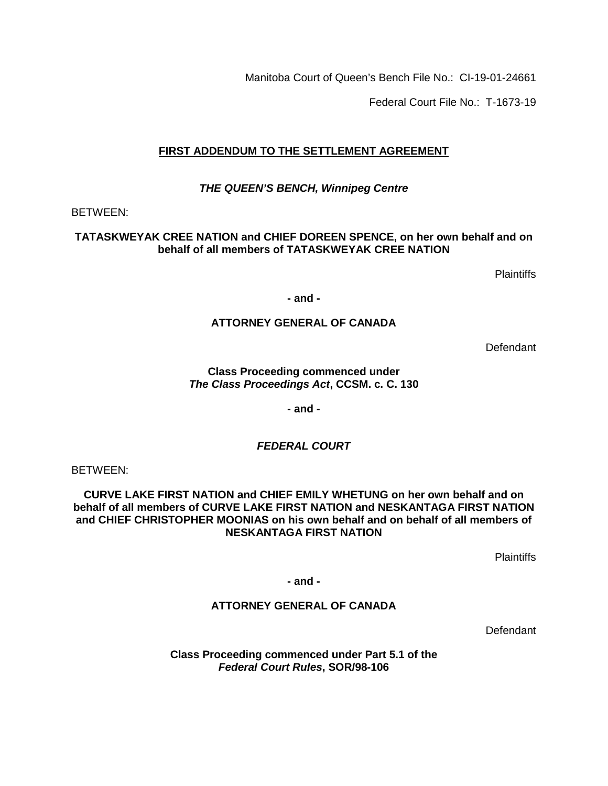Manitoba Court of Queen's Bench File No.: CI-19-01-24661

Federal Court File No.: T-1673-19

# **FIRST ADDENDUM TO THE SETTLEMENT AGREEMENT**

## *THE QUEEN'S BENCH, Winnipeg Centre*

### BETWEEN:

### **TATASKWEYAK CREE NATION and CHIEF DOREEN SPENCE, on her own behalf and on behalf of all members of TATASKWEYAK CREE NATION**

Plaintiffs

**- and -**

## **ATTORNEY GENERAL OF CANADA**

**Defendant** 

**Class Proceeding commenced under**  *The Class Proceedings Act***, CCSM. c. C. 130**

**- and -**

## *FEDERAL COURT*

BETWEEN:

**CURVE LAKE FIRST NATION and CHIEF EMILY WHETUNG on her own behalf and on behalf of all members of CURVE LAKE FIRST NATION and NESKANTAGA FIRST NATION and CHIEF CHRISTOPHER MOONIAS on his own behalf and on behalf of all members of NESKANTAGA FIRST NATION** 

**Plaintiffs** 

**- and -**

## **ATTORNEY GENERAL OF CANADA**

**Defendant** 

**Class Proceeding commenced under Part 5.1 of the**  *Federal Court Rules***, SOR/98-106**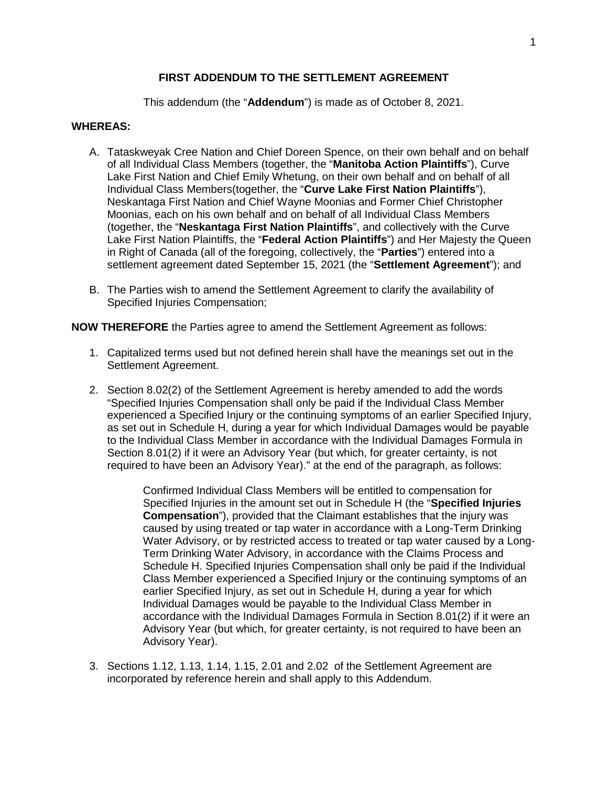### **FIRST ADDENDUM TO THE SETTLEMENT AGREEMENT**

This addendum (the "**Addendum**") is made as of October 8, 2021.

#### **WHEREAS:**

- A. Tataskweyak Cree Nation and Chief Doreen Spence, on their own behalf and on behalf of all Individual Class Members (together, the "**Manitoba Action Plaintiffs**"), Curve Lake First Nation and Chief Emily Whetung, on their own behalf and on behalf of all Individual Class Members(together, the "**Curve Lake First Nation Plaintiffs**"), Neskantaga First Nation and Chief Wayne Moonias and Former Chief Christopher Moonias, each on his own behalf and on behalf of all Individual Class Members (together, the "**Neskantaga First Nation Plaintiffs**", and collectively with the Curve Lake First Nation Plaintiffs, the "**Federal Action Plaintiffs**") and Her Majesty the Queen in Right of Canada (all of the foregoing, collectively, the "**Parties**") entered into a settlement agreement dated September 15, 2021 (the "**Settlement Agreement**"); and
- B. The Parties wish to amend the Settlement Agreement to clarify the availability of Specified Injuries Compensation;

**NOW THEREFORE** the Parties agree to amend the Settlement Agreement as follows:

- 1. Capitalized terms used but not defined herein shall have the meanings set out in the Settlement Agreement.
- 2. Section 8.02(2) of the Settlement Agreement is hereby amended to add the words "Specified Injuries Compensation shall only be paid if the Individual Class Member experienced a Specified Injury or the continuing symptoms of an earlier Specified Injury, as set out in Schedule H, during a year for which Individual Damages would be payable to the Individual Class Member in accordance with the Individual Damages Formula in Section 8.01(2) if it were an Advisory Year (but which, for greater certainty, is not required to have been an Advisory Year)." at the end of the paragraph, as follows:

Confirmed Individual Class Members will be entitled to compensation for Specified Injuries in the amount set out in Schedule H (the "**Specified Injuries Compensation**"), provided that the Claimant establishes that the injury was caused by using treated or tap water in accordance with a Long-Term Drinking Water Advisory, or by restricted access to treated or tap water caused by a Long-Term Drinking Water Advisory, in accordance with the Claims Process and Schedule H. Specified Injuries Compensation shall only be paid if the Individual Class Member experienced a Specified Injury or the continuing symptoms of an earlier Specified Injury, as set out in Schedule H, during a year for which Individual Damages would be payable to the Individual Class Member in accordance with the Individual Damages Formula in Section 8.01(2) if it were an Advisory Year (but which, for greater certainty, is not required to have been an Advisory Year).

3. Sections 1.12, 1.13, 1.14, 1.15, 2.01 and 2.02 of the Settlement Agreement are incorporated by reference herein and shall apply to this Addendum.